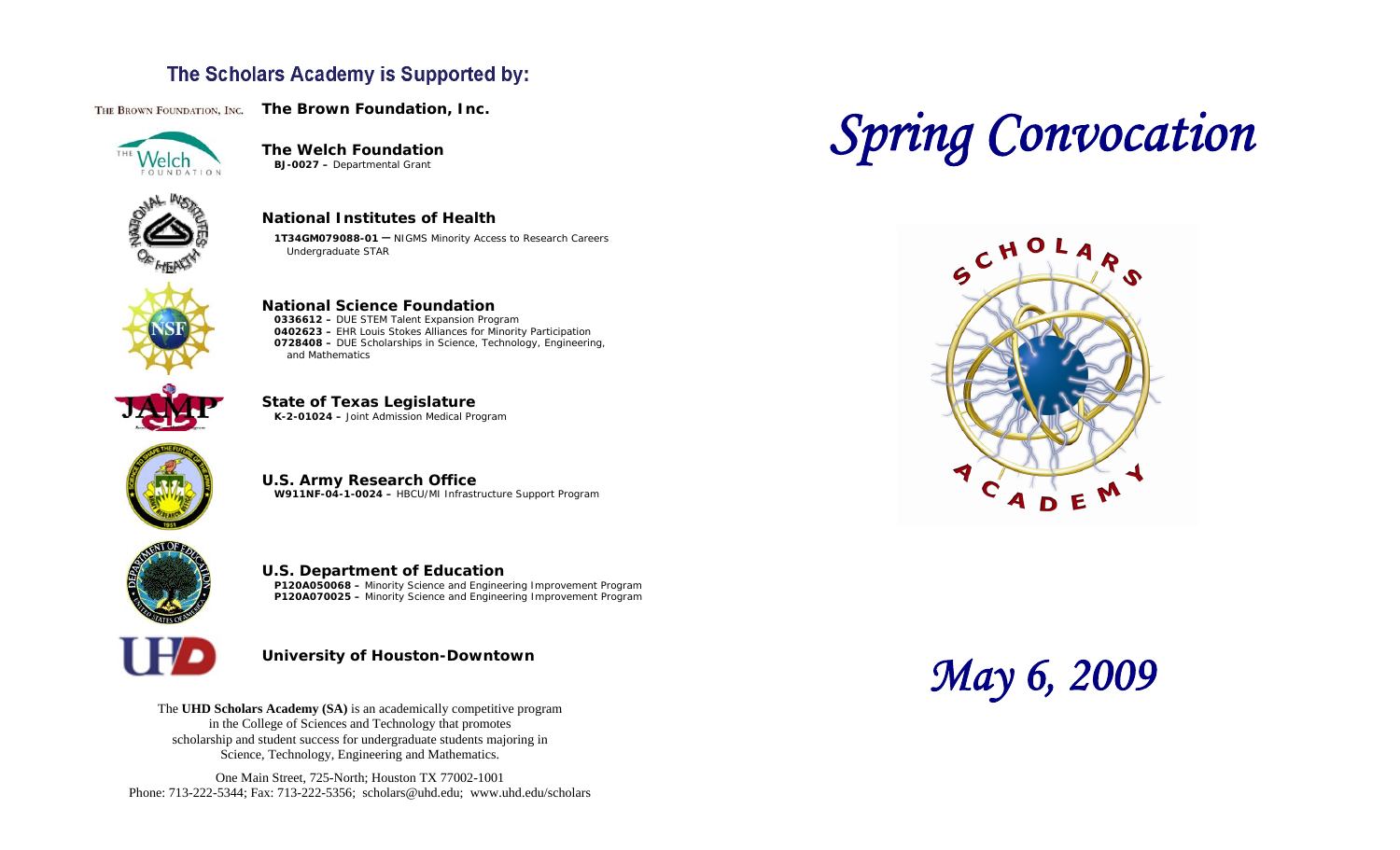## The Scholars Academy is Supported by:

THE BROWN FOUNDATION, INC. The Brown Foundation, Inc.



**The Welch Foundation BJ-0027 –** Departmental Grant

Undergraduate STAR



**National Institutes of Health 1T34GM079088-01 –** NIGMS Minority Access to Research Careers



**National Science Foundation 0336612 –** DUE STEM Talent Expansion Program **0402623 –** EHR Louis Stokes Alliances for Minority Participation **0728408 –** DUE Scholarships in Science, Technology, Engineering, and Mathematics











**U.S. Department of Education P120A050068 –** Minority Science and Engineering Improvement Program **P120A070025 –** Minority Science and Engineering Improvement Program



**University of Houston-Downtown** 

The **UHD Scholars Academy (SA)** is an academically competitive program in the College of Sciences and Technology that promotes scholarship and student success for undergraduate students majoring in Science, Technology, Engineering and Mathematics.

One Main Street, 725-North; Houston TX 77002-1001 Phone: 713-222-5344; Fax: 713-222-5356; [scholars@uhd.edu](mailto:scholars@uhd.edu); <www.uhd.edu/scholars>

# *Spring Convocation*



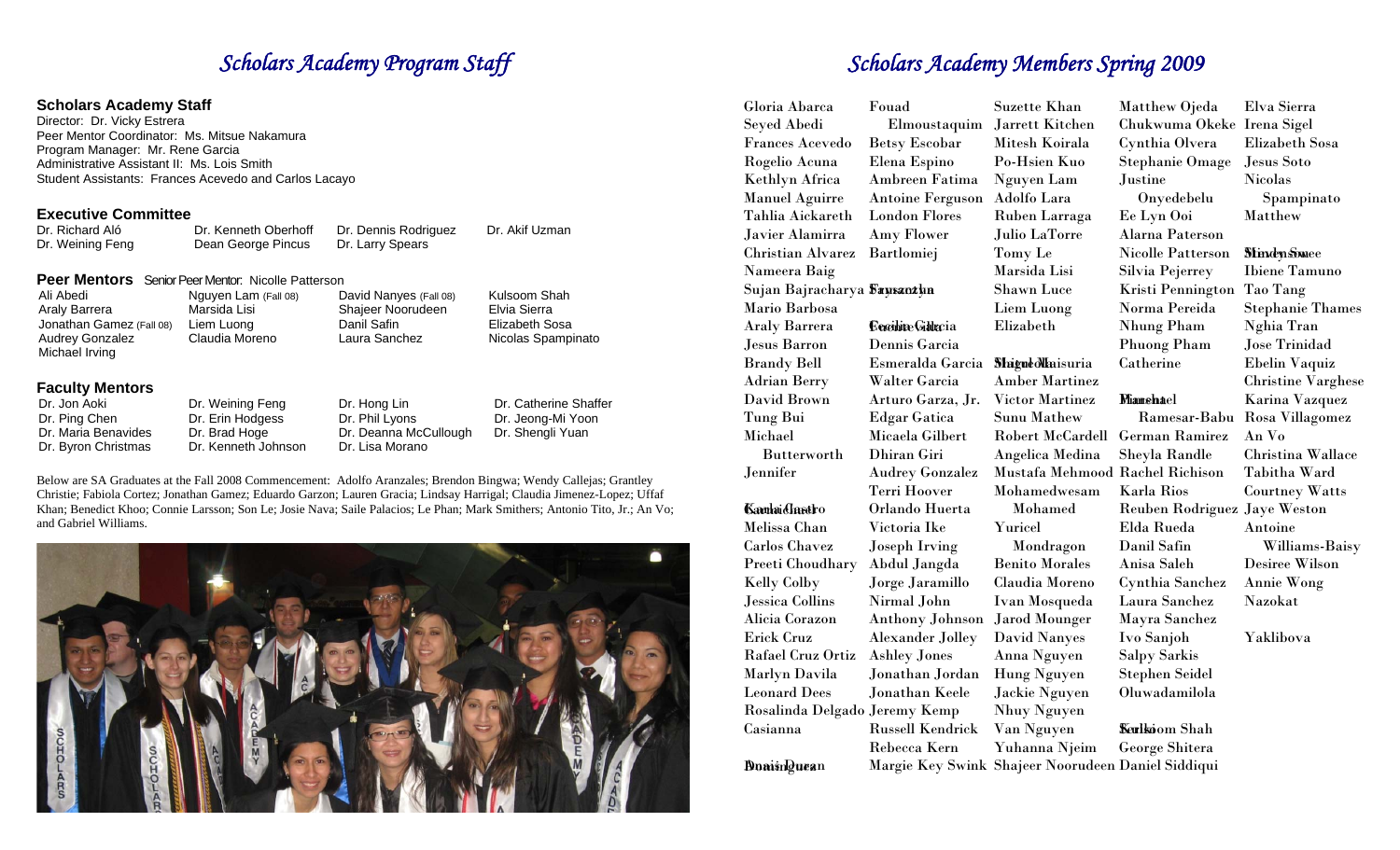# **Scholars Academy Staff Director: Dr. Vicky Estrera**

| Dr. Richard Aló  | Dr. Kenneth Oberhoff | Dr. Dennis Rodriguez |
|------------------|----------------------|----------------------|
| Dr. Weining Feng | Dean George Pincus   | Dr. Larry Spears     |

| Ali Abedi                | Nguyen Lam (Fall 08)        | David Nanyes (Fall 08) | Kulsoom Shah       | Sujan Bajracha      |
|--------------------------|-----------------------------|------------------------|--------------------|---------------------|
| Araly Barrera            | Marsida Lisi                | Shajeer Noorudeen      | Elvia Sierra       | Mario Barbosa       |
| Jonathan Gamez (Fall 08) | Liem Luong                  | Danil Safin            | Elizabeth Sosa     | Araly Barrera       |
| Audrey Gonzalez          | Claudia Moreno              | Laura Sanchez          | Nicolas Spampinato | Jesus Barron        |
| Michael Irving           |                             |                        |                    | <b>Brandy Bell</b>  |
| <b>Faculty Mentors</b>   |                             |                        |                    | <b>Adrian Berry</b> |
| .                        | $\sim$ $\sim$ $\sim$ $\sim$ | <b>PUILLER</b>         | . <i>.</i>         | David Brown         |

| Dr. Jon Aoki        | Dr. weining Feng    | Dr. Hong Lin                           | Dr. Catherine Shaffer |             | $\pm$ 11 caro o arza, | $\lambda$ is the state $\lambda$ |                                       | ******** |
|---------------------|---------------------|----------------------------------------|-----------------------|-------------|-----------------------|----------------------------------|---------------------------------------|----------|
| Dr. Ping Chen       | Dr. Erin Hodgess    | Dr. Phil Lyons                         | Dr. Jeong-Mi Yoon     | Tung Bui    | Edgar Gatica          | Sunu Mathew                      | Ramesar-Babu Rosa V                   |          |
| Dr. Maria Benavides | Dr. Brad Hoge       | Dr. Deanna McCullough Dr. Shengli Yuan |                       | Michael     | Micaela Gilbert       |                                  | Robert McCardell German Ramirez An Vo |          |
| Dr. Byron Christmas | Dr. Kenneth Johnson | Dr. Lisa Morano                        |                       | Rutterworth | Dhiran Ciri           | Angelica Medina                  | - Shevla Randle                       | Christi  |



# **Scholars Academy Program Staff** Scholars Academy Members Spring 2009

| <b>Scholars Academy Staff</b><br>Director: Dr. Vicky Estrera<br>Peer Mentor Coordinator: Ms. Mitsue Nakamura<br>Program Manager: Mr. Rene Garcia<br>Administrative Assistant II: Ms. Lois Smith | Student Assistants: Frances Acevedo and Carlos Lacayo |                                          |                                                                                                                            | Gloria Abarca<br>Seyed Abedi<br><b>Frances Acevedo</b><br>Rogelio Acuna<br>Kethlyn Africa | Fouad<br>Elmoustaquim<br><b>Betsy Escobar</b><br>Elena Espino<br>Ambreen Fatima | Suzette Khan<br>Jarrett Kitchen<br>Mitesh Koirala<br>Po-Hsien Kuo<br>Nguyen Lam | Matthew Ojeda<br>Chukwuma Okeke Irena Sigel<br>Cynthia Olvera<br><b>Stephanie Omage</b><br>Justine | Elva Sierra<br>Elizabeth Sosa<br>Jesus Soto<br><b>Nicolas</b> |
|-------------------------------------------------------------------------------------------------------------------------------------------------------------------------------------------------|-------------------------------------------------------|------------------------------------------|----------------------------------------------------------------------------------------------------------------------------|-------------------------------------------------------------------------------------------|---------------------------------------------------------------------------------|---------------------------------------------------------------------------------|----------------------------------------------------------------------------------------------------|---------------------------------------------------------------|
|                                                                                                                                                                                                 |                                                       |                                          |                                                                                                                            | <b>Manuel Aguirre</b>                                                                     | <b>Antoine Ferguson</b>                                                         | Adolfo Lara                                                                     | Onyedebelu                                                                                         | Spampinato                                                    |
| <b>Executive Committee</b>                                                                                                                                                                      |                                                       |                                          |                                                                                                                            | Tahlia Aickareth                                                                          | <b>London Flores</b>                                                            | Ruben Larraga                                                                   | Ee Lyn Ooi                                                                                         | Matthew                                                       |
| Dr. Richard Aló<br>Dr. Weining Feng                                                                                                                                                             | Dr. Kenneth Oberhoff<br>Dean George Pincus            | Dr. Dennis Rodriguez<br>Dr. Larry Spears | Dr. Akif Uzman                                                                                                             | Javier Alamirra                                                                           | Amy Flower                                                                      | Julio LaTorre                                                                   | Alarna Paterson                                                                                    |                                                               |
|                                                                                                                                                                                                 |                                                       |                                          |                                                                                                                            | Christian Alvarez                                                                         | Bartlomiej                                                                      | Tomy Le                                                                         | <b>Nicolle Patterson</b>                                                                           | <b>StindenSomee</b>                                           |
|                                                                                                                                                                                                 | Peer Mentors Senior Peer Mentor: Nicolle Patterson    |                                          |                                                                                                                            | Nameera Baig                                                                              |                                                                                 | Marsida Lisi                                                                    | Silvia Pejerrey                                                                                    | <b>Ibiene Tamuno</b>                                          |
| Ali Abedi                                                                                                                                                                                       | Nguyen Lam (Fall 08)                                  | David Nanyes (Fall 08)                   | Kulsoom Shah                                                                                                               | Sujan Bajracharya Sawantha                                                                |                                                                                 | Shawn Luce                                                                      | <b>Kristi Pennington</b>                                                                           | Tao Tang                                                      |
| Araly Barrera                                                                                                                                                                                   | Marsida Lisi                                          | Shajeer Noorudeen                        | Elvia Sierra                                                                                                               | Mario Barbosa                                                                             |                                                                                 | Liem Luong                                                                      | Norma Pereida                                                                                      | <b>Stephanie Thames</b>                                       |
| Jonathan Gamez (Fall 08)                                                                                                                                                                        | Liem Luong                                            | Danil Safin                              | Elizabeth Sosa                                                                                                             | <b>Araly Barrera</b>                                                                      | <b>Eccilite Gilla</b> cia                                                       | Elizabeth                                                                       | Nhung Pham                                                                                         | <b>Nghia Tran</b>                                             |
| <b>Audrey Gonzalez</b><br>Michael Irving                                                                                                                                                        | Claudia Moreno                                        | Laura Sanchez                            | Nicolas Spampinato                                                                                                         | Jesus Barron                                                                              | Dennis Garcia                                                                   |                                                                                 | <b>Phuong Pham</b>                                                                                 | Jose Trinidad                                                 |
|                                                                                                                                                                                                 |                                                       |                                          |                                                                                                                            | <b>Brandy Bell</b>                                                                        | Esmeralda Garcia MugueoNaisuria                                                 |                                                                                 | Catherine                                                                                          | Ebelin Vaquiz                                                 |
| <b>Faculty Mentors</b>                                                                                                                                                                          |                                                       |                                          |                                                                                                                            | <b>Adrian Berry</b>                                                                       | Walter Garcia                                                                   | <b>Amber Martinez</b>                                                           |                                                                                                    | <b>Christine Varghese</b>                                     |
| Dr. Jon Aoki                                                                                                                                                                                    | Dr. Weining Feng                                      | Dr. Hong Lin                             | Dr. Catherine Shaffer                                                                                                      | David Brown                                                                               | Arturo Garza, Jr.                                                               | <b>Victor Martinez</b>                                                          | Miamehael                                                                                          | Karina Vazquez                                                |
| Dr. Ping Chen                                                                                                                                                                                   | Dr. Erin Hodgess                                      | Dr. Phil Lyons                           | Dr. Jeong-Mi Yoon                                                                                                          | Tung Bui                                                                                  | <b>Edgar Gatica</b>                                                             | Sunu Mathew                                                                     |                                                                                                    | Ramesar-Babu Rosa Villagomez                                  |
| Dr. Maria Benavides                                                                                                                                                                             | Dr. Brad Hoge                                         | Dr. Deanna McCullough                    | Dr. Shengli Yuan                                                                                                           | Michael                                                                                   | Micaela Gilbert                                                                 | Robert McCardell German Ramirez                                                 |                                                                                                    | An Vo                                                         |
| Dr. Byron Christmas                                                                                                                                                                             | Dr. Kenneth Johnson                                   | Dr. Lisa Morano                          |                                                                                                                            | <b>Butterworth</b>                                                                        | Dhiran Giri                                                                     | Angelica Medina                                                                 | Sheyla Randle                                                                                      | Christina Wallace                                             |
|                                                                                                                                                                                                 |                                                       |                                          | Below are SA Graduates at the Fall 2008 Commencement: Adolfo Aranzales; Brendon Bingwa; Wendy Callejas; Grantley           | Jennifer                                                                                  | <b>Audrey Gonzalez</b>                                                          | Mustafa Mehmood Rachel Richison                                                 |                                                                                                    | Tabitha Ward                                                  |
|                                                                                                                                                                                                 |                                                       |                                          | Christie; Fabiola Cortez; Jonathan Gamez; Eduardo Garzon; Lauren Gracia; Lindsay Harrigal; Claudia Jimenez-Lopez; Uffaf    |                                                                                           | Terri Hoover                                                                    | Mohamedwesam                                                                    | <b>Karla Rios</b>                                                                                  | <b>Courtney Watts</b>                                         |
|                                                                                                                                                                                                 |                                                       |                                          | Khan; Benedict Khoo; Connie Larsson; Son Le; Josie Nava; Saile Palacios; Le Phan; Mark Smithers; Antonio Tito, Jr.; An Vo; | <b>Kamai</b> Chastro                                                                      | Orlando Huerta                                                                  | Mohamed                                                                         | Reuben Rodriguez Jaye Weston                                                                       |                                                               |
| and Gabriel Williams.                                                                                                                                                                           |                                                       |                                          |                                                                                                                            | Melissa Chan                                                                              | Victoria Ike                                                                    | Yuricel                                                                         | Elda Rueda                                                                                         | Antoine                                                       |
|                                                                                                                                                                                                 |                                                       |                                          |                                                                                                                            | <b>Carlos</b> Chavez                                                                      | Joseph Irving                                                                   | Mondragon                                                                       | Danil Safin                                                                                        | Williams-Baisy                                                |
|                                                                                                                                                                                                 |                                                       |                                          |                                                                                                                            | Preeti Choudhary                                                                          | Abdul Jangda                                                                    | <b>Benito Morales</b>                                                           | Anisa Saleh                                                                                        | Desiree Wilson                                                |
|                                                                                                                                                                                                 |                                                       |                                          |                                                                                                                            | Kelly Colby                                                                               | Jorge Jaramillo                                                                 | Claudia Moreno                                                                  | Cynthia Sanchez                                                                                    | <b>Annie Wong</b>                                             |
|                                                                                                                                                                                                 |                                                       |                                          |                                                                                                                            | Jessica Collins                                                                           | Nirmal John                                                                     | Ivan Mosqueda                                                                   | Laura Sanchez                                                                                      | Nazokat                                                       |
|                                                                                                                                                                                                 |                                                       |                                          |                                                                                                                            | Alicia Corazon                                                                            | Anthony Johnson                                                                 | Jarod Mounger                                                                   | Mayra Sanchez                                                                                      |                                                               |
|                                                                                                                                                                                                 |                                                       |                                          |                                                                                                                            | Erick Cruz                                                                                | <b>Alexander Jolley</b>                                                         | <b>David Nanyes</b>                                                             | Ivo Sanjoh                                                                                         | Yaklibova                                                     |
|                                                                                                                                                                                                 |                                                       |                                          |                                                                                                                            | Rafael Cruz Ortiz                                                                         | <b>Ashley Jones</b>                                                             | Anna Nguyen                                                                     | <b>Salpy Sarkis</b>                                                                                |                                                               |
|                                                                                                                                                                                                 |                                                       |                                          |                                                                                                                            | Marlyn Davila                                                                             | Jonathan Jordan                                                                 | Hung Nguyen                                                                     | <b>Stephen Seidel</b>                                                                              |                                                               |
|                                                                                                                                                                                                 |                                                       |                                          |                                                                                                                            | <b>Leonard Dees</b>                                                                       | Jonathan Keele                                                                  | Jackie Nguyen                                                                   | Oluwadamilola                                                                                      |                                                               |
|                                                                                                                                                                                                 |                                                       |                                          |                                                                                                                            | Rosalinda Delgado Jeremy Kemp                                                             |                                                                                 | <b>Nhuy Nguyen</b>                                                              |                                                                                                    |                                                               |
|                                                                                                                                                                                                 |                                                       |                                          |                                                                                                                            | Casianna                                                                                  | <b>Russell Kendrick</b>                                                         | Van Nguyen                                                                      | Kerlkoom Shah                                                                                      |                                                               |
|                                                                                                                                                                                                 |                                                       |                                          |                                                                                                                            |                                                                                           | Rebecca Kern                                                                    | Yuhanna Njeim                                                                   | George Shitera                                                                                     |                                                               |
|                                                                                                                                                                                                 |                                                       |                                          |                                                                                                                            | <b>Dominguean</b>                                                                         |                                                                                 | Margie Key Swink Shajeer Noorudeen Daniel Siddiqui                              |                                                                                                    |                                                               |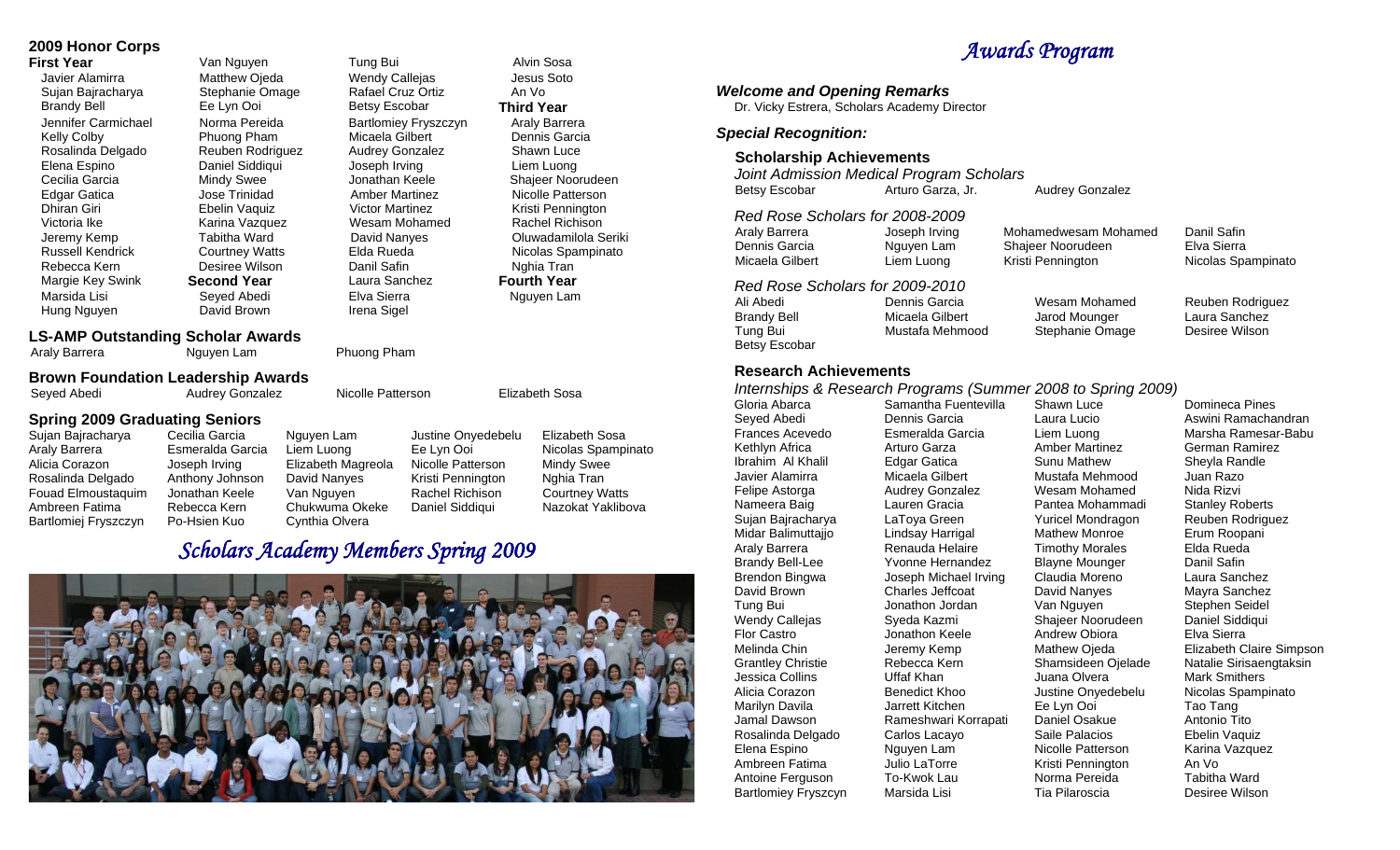## **2009 Honor Corps**

Victoria Ike **Karina Vazquez** Wesam Mohamed Rachel Richison Richison Rachel Richison Richison Rachel Richison Rich Hung Nguyen **David Brown** Irena Sigel

### **First Year Van Nguyen Tung Bui Alvin Sosa** Javier Alamirra Matthew Ojeda Wendy Callejas Jesus Soto Sujan Bajracharya Stephanie Omage Rafael Cruz Ortiz An Vo Brandy Bell Ee Lyn Ooi Betsy Escobar **Third Year**  Jennifer Carmichael Norma Pereida Bartlomiey Fryszczyn Araly Barrera Kelly Colby Phuong Pham Micaela Gilbert Dennis Garcia Rosalinda Delgado Reuben Rodriguez Audrey Gonzalez Shawn Luce<br>Elena Espino Baniel Siddiqui Joseph Irving Liem Luong Joseph Irving Liem Luong Cecilia Garcia Mindy Swee Jonathan Keele Shajeer Noorudeen Edgar Gatica Jose Trinidad Amber Martinez Nicolle Patterson Dhiran Giri Ebelin Vaquiz Victor Martinez Kristi Pennington Jeremy Kemp Tabitha Ward David Nanyes Oluwadamilola Seriki Russell Kendrick Courtney Watts Elda Rueda Nicolas Spampinato Rebecca Kern **Desiree Wilson** Danil Safin Nghia Tran Margie Key Swink **Second Year** Laura Sanchez **Fourth Year**  Marsida Lisi Seyed Abedi Elva Sierra Nguyen Lam

**LS-AMP Outstanding Scholar Awards**

Araly Barrera **Nguyen Lam** Phuong Pham

### **Brown Foundation Leadership Awards**

Seyed Abedi **Audrey Gonzalez** Nicolle Patterson **Elizabeth Sosa** 

**Spring 2009 Graduating Seniors**  Sujan Bajracharya Cecilia Garcia Nguyen Lam Justine Onyedebelu Elizabeth Sosa Araly Barrera Esmeralda Garcia Liem Luong Ee Lyn Ooi Nicolas Spampinato Alicia Corazon Joseph Irving Elizabeth Magreola Nicolle Patterson Mindy Swee Rosalinda Delgado Anthony Johnson David Nanyes Kristi Pennington Nghia Tran Fouad Elmoustaquim Jonathan Keele Van Nguyen Rachel Richison Courtney Watts Ambreen Fatima Rebecca Kern Chukwuma Okeke Daniel Siddiqui Nazokat Yaklibova

Bartlomiej Fryszczyn Po-Hsien Kuo Cynthia Olvera

# *Scholars Academy Members Spring 2009*



# *Awards Program*

Audrey Gonzalez

*Welcome and Opening Remarks* Dr. Vicky Estrera, Scholars Academy Director *Special Recognition:*   **Scholarship Achievements**  *Joint Admission Medical Program Scholars*  Betsy Escobar Arturo Garza, Jr. *Red Rose Scholars for 2008-2009* Araly Barrera Joseph Irving Mohamedwesam Mohamed Dennis Garcia Mguyen Lam Shajeer Noorudeen Micaela Gilbert Liem Luong Kristi Pennington *Red Rose Scholars for 2009-2010* Ali Abedi Dennis Garcia Wesam Mohamed Brandy Bell Micaela Gilbert Jarod Mounger Tung Bui Mustafa Mehmood Stephanie Omage Betsy Escobar  **Research Achievements** Gloria Abarca Samantha Fuentevilla Shawn Luce Seyed Abedi Dennis Garcia Laura Lucio Frances Acevedo Esmeralda Garcia Liem Luong Kethlyn Africa Ibrahim Al Khalil **Edgar Gatica** Sunu Mathew Javier Alamirra **Micaela Gilbert** Mustafa Mehmood Felipe Astorga Nameera Baig Lauren Gracia Pantea Mohammadi Sujan Bajracharya LaToya Green Midar Balimuttajjo Lindsay Harrigal Mathew Monroe Araly Barrera Renauda Helaire Brandy Bell-Lee Brendon Bingwa Joseph Michael Irving David Brown Charles Jeffcoat David Nanyes Tung Bui Jonathon Jordan Wendy Callejas Syeda Kazmi Shajeer Noorudeen<br>
Flor Castro Shajeer Shajeer Shajeer Shajeer Shajeer Shajeer Shajeer Shajeer Shajeer Shajeer Shajeer Shajeer S Flor Castro Jonathon Keele Melinda Chin Jeremy Kemp Mathew Ojeda

Antoine Ferguson

Arturo Garza Audrey Gonzalez Ambreen Fatima *Julio LaTorre* Kristi Pennington<br>Antoine Ferguson To-Kwok Lau **Morma Pereida** Bartlomiey Fryszcyn Marsida Lisi

Amber Martinez Wesam Mohamed Yuricel Mondragon Timothy Morales Van Nguyen Andrew Obiora Norma Pereida

Domineca Pines Aswini Ramachandran Marsha Ramesar-Babu German Ramirez Sheyla Randle Juan Razo Nida Rizvi Stanley Roberts Reuben Rodriguez Erum Roopani Elda Rueda Danil Safin Laura Sanchez Mayra Sanchez Stephen Seidel Daniel Siddiqui Elva Sierra Elizabeth Claire Simpson Natalie Sirisaengtaksin Mark Smithers Nicolas Spampinato Tao Tang Antonio Tito Ebelin Vaquiz Karina Vazquez An Vo

Tabitha Ward Desiree Wilson

Danil Safin Elva Sierra Nicolas Spampinato

Reuben Rodriguez Laura Sanchez Desiree Wilson

*Internships & Research Programs (Summer 2008 to Spring 2009)* 

Yvonne Hernandez Blayne Mounger<br>Joseph Michael Irving Claudia Moreno Grantley Christie Rebecca Kern Shamsideen Ojelade Jessica Collins Uffaf Khan Juana Olvera Alicia Corazon Benedict Khoo Justine Onyedebelu Marilyn Davila Jarrett Kitchen Ee Lyn Ooi Jamal Dawson Rameshwari Korrapati Daniel Osakue Rosalinda Delgado Carlos Lacayo Saile Palacios Elena Espino Nguyen Lam Nicolle Patterson

Tia Pilaroscia